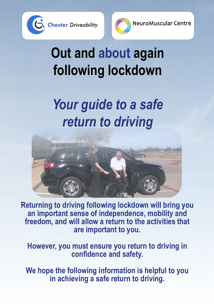



# **Out and about again following lockdown**

## *Your guide to a safe return to driving*



**Returning to driving following lockdown will bring you an important sense of independence, mobility and freedom, and will allow a return to the activities that are important to you.**

**However, you must ensure you return to driving in confidence and safety.** 

**We hope the following information is helpful to you in achieving a safe return to driving.**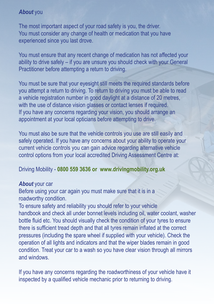## *About* you

The most important aspect of your road safety is you, the driver. You must consider any change of health or medication that you have experienced since you last drove.

You must ensure that any recent change of medication has not affected your ability to drive safely – if you are unsure you should check with your General Practitioner before attempting a return to driving.

You must be sure that your evesight still meets the required standards before you attempt a return to driving. To return to driving you must be able to read a vehicle registration number in good daylight at a distance of 20 metres, with the use of distance vision glasses or contact lenses if required. If you have any concerns regarding your vision, you should arrange an appointment at your local opticians before attempting to drive.

You must also be sure that the vehicle controls you use are still easily and safely operated. If you have any concerns about your ability to operate your current vehicle controls you can gain advice regarding alternative vehicle control options from your local accredited Driving Assessment Centre at:

### Driving Mobility - **0800 559 3636 or www.drivingmobility.org.uk**

#### *About* your car

Before using your car again you must make sure that it is in a roadworthy condition.

To ensure safety and reliability you should refer to your vehicle handbook and check all under bonnet levels including oil, water coolant, washer bottle fluid etc. You should visually check the condition of your tyres to ensure there is sufficient tread depth and that all tyres remain inflated at the correct pressures (including the spare wheel if supplied with your vehicle). Check the operation of all lights and indicators and that the wiper blades remain in good condition. Treat your car to a wash so you have clear vision through all mirrors and windows.

If you have any concerns regarding the roadworthiness of your vehicle have it inspected by a qualified vehicle mechanic prior to returning to driving.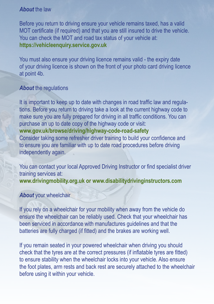### *About* the law

Before you return to driving ensure your vehicle remains taxed, has a valid MOT certificate (if required) and that you are still insured to drive the vehicle. You can check the MOT and road tax status of your vehicle at: **https://vehicleenquiry.service.gov.uk**

You must also ensure your driving licence remains valid - the expiry date of your driving licence is shown on the front of your photo card driving licence at point 4b.

### *About* the regulations

It is important to keep up to date with changes in road traffic law and regulations. Before you return to driving take a look at the current highway code to make sure you are fully prepared for driving in all traffic conditions. You can purchase an up to date copy of the highway code or visit:

## **www.gov.uk/browse/driving/highway-code-road-safety**

Consider taking some refresher driver training to build your confidence and to ensure you are familiar with up to date road procedures before driving independently again.

You can contact your local Approved Driving Instructor or find specialist driver training services at: **www.drivingmobility.org.uk or www.disabilitydrivinginstructors.com**

#### *About* your wheelchair

If you rely on a wheelchair for your mobility when away from the vehicle do ensure the wheelchair can be reliably used. Check that your wheelchair has been serviced in accordance with manufactures guidelines and that the batteries are fully charged (if fitted) and the brakes are working well.

If you remain seated in your powered wheelchair when driving you should check that the tyres are at the correct pressures (if inflatable tyres are fitted) to ensure stability when the wheelchair locks into your vehicle. Also ensure the foot plates, arm rests and back rest are securely attached to the wheelchair before using it within your vehicle.